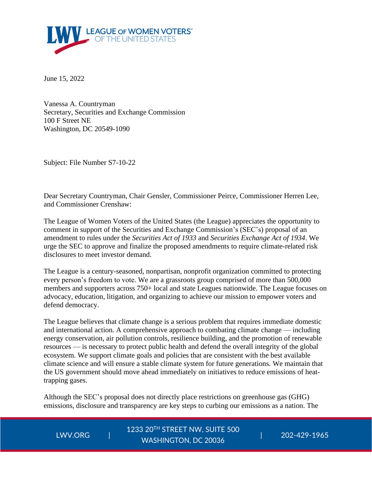

June 15, 2022

Vanessa A. Countryman Secretary, Securities and Exchange Commission 100 F Street NE Washington, DC 20549-1090

Subject: File Number S7-10-22

Dear Secretary Countryman, Chair Gensler, Commissioner Peirce, Commissioner Herren Lee, and Commissioner Crenshaw:

The League of Women Voters of the United States (the League) appreciates the opportunity to comment in support of the Securities and Exchange Commission's (SEC's) proposal of an amendment to rules under the *Securities Act of 1933* and *Securities Exchange Act of 1934*. We urge the SEC to approve and finalize the proposed amendments to require climate-related risk disclosures to meet investor demand.

The League is a century-seasoned, nonpartisan, nonprofit organization committed to protecting every person's freedom to vote. We are a grassroots group comprised of more than 500,000 members and supporters across 750+ local and state Leagues nationwide. The League focuses on advocacy, education, litigation, and organizing to achieve our mission to empower voters and defend democracy.

The League believes that climate change is a serious problem that requires immediate domestic and international action. A comprehensive approach to combating climate change — including energy conservation, air pollution controls, resilience building, and the promotion of renewable resources — is necessary to protect public health and defend the overall integrity of the global ecosystem. We support climate goals and policies that are consistent with the best available climate science and will ensure a stable climate system for future generations. We maintain that the US government should move ahead immediately on initiatives to reduce emissions of heattrapping gases.

Although the SEC's proposal does not directly place restrictions on greenhouse gas (GHG) emissions, disclosure and transparency are key steps to curbing our emissions as a nation. The

LWV.ORG

1233 20TH STREET NW, SUITE 500 | 202-429-1965 WASHINGTON, DC 20036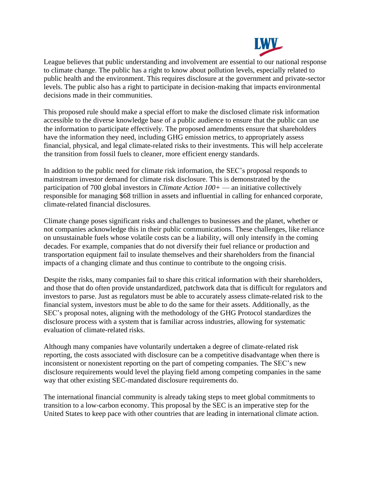

League believes that public understanding and involvement are essential to our national response to climate change. The public has a right to know about pollution levels, especially related to public health and the environment. This requires disclosure at the government and private-sector levels. The public also has a right to participate in decision-making that impacts environmental decisions made in their communities.

This proposed rule should make a special effort to make the disclosed climate risk information accessible to the diverse knowledge base of a public audience to ensure that the public can use the information to participate effectively. The proposed amendments ensure that shareholders have the information they need, including GHG emission metrics, to appropriately assess financial, physical, and legal climate-related risks to their investments. This will help accelerate the transition from fossil fuels to cleaner, more efficient energy standards.

In addition to the public need for climate risk information, the SEC's proposal responds to mainstream investor demand for climate risk disclosure. This is demonstrated by the participation of 700 global investors in *Climate Action 100+* — an initiative collectively responsible for managing \$68 trillion in assets and influential in calling for enhanced corporate, climate-related financial disclosures.

Climate change poses significant risks and challenges to businesses and the planet, whether or not companies acknowledge this in their public communications. These challenges, like reliance on unsustainable fuels whose volatile costs can be a liability, will only intensify in the coming decades. For example, companies that do not diversify their fuel reliance or production and transportation equipment fail to insulate themselves and their shareholders from the financial impacts of a changing climate and thus continue to contribute to the ongoing crisis.

Despite the risks, many companies fail to share this critical information with their shareholders, and those that do often provide unstandardized, patchwork data that is difficult for regulators and investors to parse. Just as regulators must be able to accurately assess climate-related risk to the financial system, investors must be able to do the same for their assets. Additionally, as the SEC's proposal notes, aligning with the methodology of the GHG Protocol standardizes the disclosure process with a system that is familiar across industries, allowing for systematic evaluation of climate-related risks.

Although many companies have voluntarily undertaken a degree of climate-related risk reporting, the costs associated with disclosure can be a competitive disadvantage when there is inconsistent or nonexistent reporting on the part of competing companies. The SEC's new disclosure requirements would level the playing field among competing companies in the same way that other existing SEC-mandated disclosure requirements do.

The international financial community is already taking steps to meet global commitments to transition to a low-carbon economy. This proposal by the SEC is an imperative step for the United States to keep pace with other countries that are leading in international climate action.